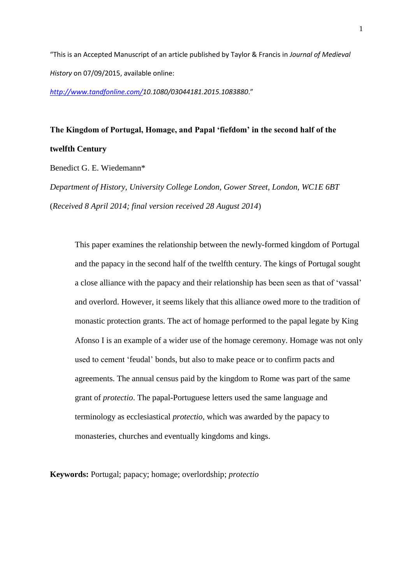"This is an Accepted Manuscript of an article published by Taylor & Francis in *Journal of Medieval History* on 07/09/2015, available online:

*[http://www.tandfonline.com/1](http://www.tandfonline.com/)0.1080/03044181.2015.1083880*."

## **The Kingdom of Portugal, Homage, and Papal 'fiefdom' in the second half of the twelfth Century**

Benedict G. E. Wiedemann\*

*Department of History, University College London, Gower Street, London, WC1E 6BT* (*Received 8 April 2014; final version received 28 August 2014*)

This paper examines the relationship between the newly-formed kingdom of Portugal and the papacy in the second half of the twelfth century. The kings of Portugal sought a close alliance with the papacy and their relationship has been seen as that of 'vassal' and overlord. However, it seems likely that this alliance owed more to the tradition of monastic protection grants. The act of homage performed to the papal legate by King Afonso I is an example of a wider use of the homage ceremony. Homage was not only used to cement 'feudal' bonds, but also to make peace or to confirm pacts and agreements. The annual census paid by the kingdom to Rome was part of the same grant of *protectio*. The papal-Portuguese letters used the same language and terminology as ecclesiastical *protectio*, which was awarded by the papacy to monasteries, churches and eventually kingdoms and kings.

**Keywords:** Portugal; papacy; homage; overlordship; *protectio*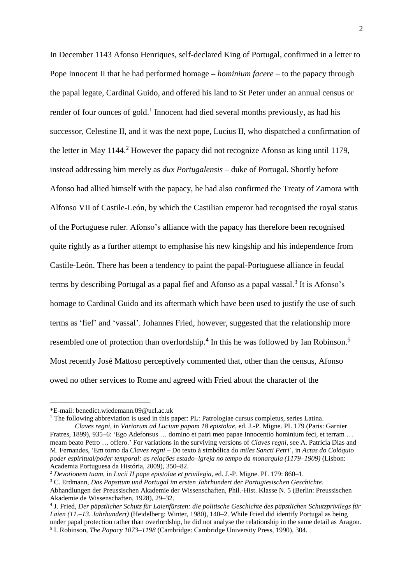In December 1143 Afonso Henriques, self-declared King of Portugal, confirmed in a letter to Pope Innocent II that he had performed homage **–** *hominium facere* – to the papacy through the papal legate, Cardinal Guido, and offered his land to St Peter under an annual census or render of four ounces of gold.<sup>1</sup> Innocent had died several months previously, as had his successor, Celestine II, and it was the next pope, Lucius II, who dispatched a confirmation of the letter in May 1144.<sup>2</sup> However the papacy did not recognize Afonso as king until 1179, instead addressing him merely as *dux Portugalensis* – duke of Portugal. Shortly before Afonso had allied himself with the papacy, he had also confirmed the Treaty of Zamora with Alfonso VII of Castile-León, by which the Castilian emperor had recognised the royal status of the Portuguese ruler. Afonso's alliance with the papacy has therefore been recognised quite rightly as a further attempt to emphasise his new kingship and his independence from Castile-León. There has been a tendency to paint the papal-Portuguese alliance in feudal terms by describing Portugal as a papal fief and Afonso as a papal vassal.<sup>3</sup> It is Afonso's homage to Cardinal Guido and its aftermath which have been used to justify the use of such terms as 'fief' and 'vassal'. Johannes Fried, however, suggested that the relationship more resembled one of protection than overlordship.<sup>4</sup> In this he was followed by Ian Robinson.<sup>5</sup> Most recently José Mattoso perceptively commented that, other than the census, Afonso owed no other services to Rome and agreed with Fried about the character of the

**.** 

<sup>1</sup> The following abbreviation is used in this paper: PL: Patrologiae cursus completus, series Latina.

<sup>\*</sup>E-mail: benedict.wiedemann.09@ucl.ac.uk

*Claves regni*, in *Variorum ad Lucium papam 18 epistolae*, ed. J.-P. Migne. PL 179 (Paris: Garnier Fratres, 1899), 935–6: 'Ego Adefonsus … domino et patri meo papae Innocentio hominium feci, et terram … meam beato Petro … offero.' For variations in the surviving versions of *Claves regni*, see A. Patricía Dias and M. Fernandes, 'Em torno da *Claves regni* – Do texto à simbólica do *miles Sancti Petri*', in *Actas do Colóquio poder espiritual/poder temporal: as relações estado–igreja no tempo da monarquia (1179–1909)* (Lisbon: Academia Portuguesa da História, 2009), 350–82.

<sup>2</sup> *Devotionem tuam*, in *Lucii II pape epistolae et privilegia*, ed. J.-P. Migne. PL 179: 860–1.

<sup>3</sup> C. Erdmann, *Das Papsttum und Portugal im ersten Jahrhundert der Portugiesischen Geschichte*. Abhandlungen der Preussischen Akademie der Wissenschaften, Phil.-Hist. Klasse N. 5 (Berlin: Preussischen Akademie de Wissenschaften, 1928), 29–32.

<sup>4</sup> J. Fried, *Der päpstlicher Schutz für Laienfürsten: die politische Geschichte des päpstlichen Schutzprivilegs für Laien (11.–13. Jahrhundert)* (Heidelberg: Winter, 1980), 140–2. While Fried did identify Portugal as being under papal protection rather than overlordship, he did not analyse the relationship in the same detail as Aragon. 5 I. Robinson, *The Papacy 1073–1198* (Cambridge: Cambridge University Press, 1990), 304.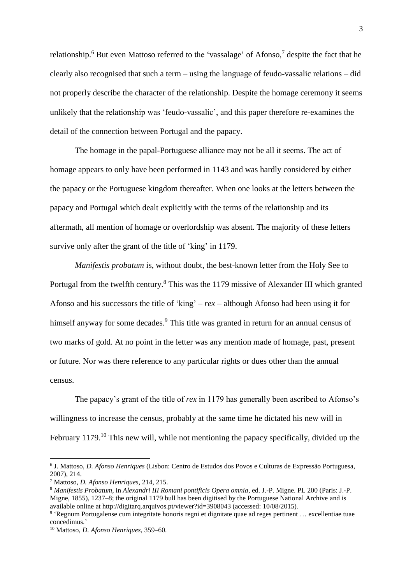relationship.<sup>6</sup> But even Mattoso referred to the 'vassalage' of Afonso,<sup>7</sup> despite the fact that he clearly also recognised that such a term – using the language of feudo-vassalic relations – did not properly describe the character of the relationship. Despite the homage ceremony it seems unlikely that the relationship was 'feudo-vassalic', and this paper therefore re-examines the detail of the connection between Portugal and the papacy.

The homage in the papal-Portuguese alliance may not be all it seems. The act of homage appears to only have been performed in 1143 and was hardly considered by either the papacy or the Portuguese kingdom thereafter. When one looks at the letters between the papacy and Portugal which dealt explicitly with the terms of the relationship and its aftermath, all mention of homage or overlordship was absent. The majority of these letters survive only after the grant of the title of 'king' in 1179.

*Manifestis probatum* is, without doubt, the best-known letter from the Holy See to Portugal from the twelfth century.<sup>8</sup> This was the 1179 missive of Alexander III which granted Afonso and his successors the title of 'king' – *rex* – although Afonso had been using it for himself anyway for some decades.<sup>9</sup> This title was granted in return for an annual census of two marks of gold. At no point in the letter was any mention made of homage, past, present or future. Nor was there reference to any particular rights or dues other than the annual census.

The papacy's grant of the title of *rex* in 1179 has generally been ascribed to Afonso's willingness to increase the census, probably at the same time he dictated his new will in February 1179.<sup>10</sup> This new will, while not mentioning the papacy specifically, divided up the

 $\overline{a}$ 

<sup>6</sup> J. Mattoso, *D. Afonso Henriques* (Lisbon: Centro de Estudos dos Povos e Culturas de Expressão Portuguesa, 2007), 214.

<sup>7</sup> Mattoso, *D. Afonso Henriques*, 214, 215.

<sup>8</sup> *Manifestis Probatum*, in *Alexandri III Romani pontificis Opera omnia*, ed. J.-P. Migne. PL 200 (Paris: J.-P. Migne, 1855), 1237–8; the original 1179 bull has been digitised by the Portuguese National Archive and is available online at http://digitarq.arquivos.pt/viewer?id=3908043 (accessed: 10/08/2015).

<sup>9</sup> 'Regnum Portugalense cum integritate honoris regni et dignitate quae ad reges pertinent … excellentiae tuae concedimus.'

<sup>10</sup> Mattoso, *D. Afonso Henriques*, 359–60.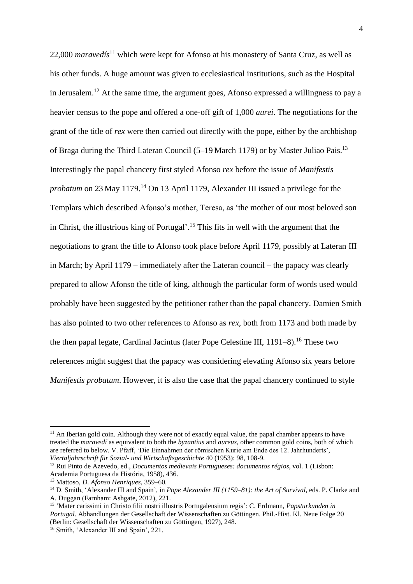22,000 *maravedís* <sup>11</sup> which were kept for Afonso at his monastery of Santa Cruz, as well as his other funds. A huge amount was given to ecclesiastical institutions, such as the Hospital in Jerusalem.<sup>12</sup> At the same time, the argument goes, Afonso expressed a willingness to pay a heavier census to the pope and offered a one-off gift of 1,000 *aurei*. The negotiations for the grant of the title of *rex* were then carried out directly with the pope, either by the archbishop of Braga during the Third Lateran Council (5–19 March 1179) or by Master Juliao Pais.<sup>13</sup> Interestingly the papal chancery first styled Afonso *rex* before the issue of *Manifestis probatum* on 23 May 1179.<sup>14</sup> On 13 April 1179, Alexander III issued a privilege for the Templars which described Afonso's mother, Teresa, as 'the mother of our most beloved son in Christ, the illustrious king of Portugal'. <sup>15</sup> This fits in well with the argument that the negotiations to grant the title to Afonso took place before April 1179, possibly at Lateran III in March; by April 1179 – immediately after the Lateran council – the papacy was clearly prepared to allow Afonso the title of king, although the particular form of words used would probably have been suggested by the petitioner rather than the papal chancery. Damien Smith has also pointed to two other references to Afonso as *rex*, both from 1173 and both made by the then papal legate, Cardinal Jacintus (later Pope Celestine III,  $1191-8$ ).<sup>16</sup> These two references might suggest that the papacy was considering elevating Afonso six years before *Manifestis probatum*. However, it is also the case that the papal chancery continued to style

 $11$  An Iberian gold coin. Although they were not of exactly equal value, the papal chamber appears to have treated the *maravedí* as equivalent to both the *byzantius* and *aureus*, other common gold coins, both of which are referred to below. V. Pfaff, 'Die Einnahmen der römischen Kurie am Ende des 12. Jahrhunderts', *Viertaljahrschrift für Sozial- und Wirtschaftsgeschichte* 40 (1953): 98, 108-9.

<sup>12</sup> Rui Pinto de Azevedo, ed., *Documentos medievais Portugueses: documentos régios*, vol. 1 (Lisbon: Academia Portuguesa da História, 1958), 436.

<sup>13</sup> Mattoso, *D. Afonso Henriques*, 359–60.

<sup>14</sup> D. Smith, 'Alexander III and Spain', in *Pope Alexander III (1159–81): the Art of Survival*, eds. P. Clarke and A. Duggan (Farnham: Ashgate, 2012), 221.

<sup>15</sup> 'Mater carissimi in Christo filii nostri illustris Portugalensium regis': C. Erdmann, *Papsturkunden in Portugal.* Abhandlungen der Gesellschaft der Wissenschaften zu Göttingen. Phil.‐Hist. Kl. Neue Folge 20 (Berlin: Gesellschaft der Wissenschaften zu Göttingen, 1927), 248.

<sup>&</sup>lt;sup>16</sup> Smith, 'Alexander III and Spain', 221.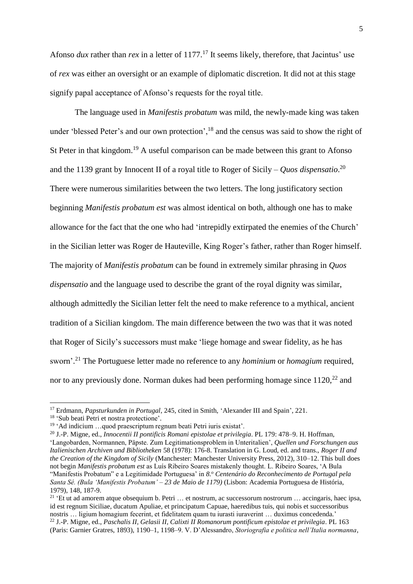Afonso *dux* rather than *rex* in a letter of 1177.<sup>17</sup> It seems likely, therefore, that Jacintus' use of *rex* was either an oversight or an example of diplomatic discretion. It did not at this stage signify papal acceptance of Afonso's requests for the royal title.

The language used in *Manifestis probatum* was mild, the newly-made king was taken under 'blessed Peter's and our own protection',<sup>18</sup> and the census was said to show the right of St Peter in that kingdom.<sup>19</sup> A useful comparison can be made between this grant to Afonso and the 1139 grant by Innocent II of a royal title to Roger of Sicily – *Quos dispensatio*. 20 There were numerous similarities between the two letters. The long justificatory section beginning *Manifestis probatum est* was almost identical on both, although one has to make allowance for the fact that the one who had 'intrepidly extirpated the enemies of the Church' in the Sicilian letter was Roger de Hauteville, King Roger's father, rather than Roger himself. The majority of *Manifestis probatum* can be found in extremely similar phrasing in *Quos dispensatio* and the language used to describe the grant of the royal dignity was similar, although admittedly the Sicilian letter felt the need to make reference to a mythical, ancient tradition of a Sicilian kingdom. The main difference between the two was that it was noted that Roger of Sicily's successors must make 'liege homage and swear fidelity, as he has sworn'. <sup>21</sup> The Portuguese letter made no reference to any *hominium* or *homagium* required, nor to any previously done. Norman dukes had been performing homage since  $1120$ <sup>22</sup> and

<sup>17</sup> Erdmann, *Papsturkunden in Portugal*, 245, cited in Smith, 'Alexander III and Spain', 221.

<sup>&</sup>lt;sup>18</sup> 'Sub beati Petri et nostra protectione'.

<sup>&</sup>lt;sup>19</sup> 'Ad indicium ...quod praescriptum regnum beati Petri iuris existat'.

<sup>20</sup> J.-P. Migne, ed., *Innocentii II pontificis Romani epistolae et privilegia*. PL 179: 478–9. H. Hoffman, 'Langobarden, Normannen, Päpste. Zum Legitimationsproblem in Unteritalien', *Quellen und Forschungen aus Italienischen Archiven und Bibliotheken* 58 (1978): 176-8. Translation in G. Loud, ed. and trans., *Roger II and the Creation of the Kingdom of Sicily* (Manchester: Manchester University Press, 2012), 310–12. This bull does not begin *Manifestis probatum est* as Luís Ribeiro Soares mistakenly thought. L. Ribeiro Soares, 'A Bula "Manifestis Probatum" e a Legitimidade Portuguesa' in *8.<sup>o</sup> Centenário do Reconhecimento de Portugal pela Santa Sé. (Bula 'Manifestis Probatum' – 23 de Maio de 1179)* (Lisbon: Academia Portuguesa de História, 1979), 148, 187-9.

<sup>&</sup>lt;sup>21</sup> 'Et ut ad amorem atque obsequium b. Petri ... et nostrum, ac successorum nostrorum ... accingaris, haec ipsa, id est regnum Siciliae, ducatum Apuliae, et principatum Capuae, haeredibus tuis, qui nobis et successoribus nostris … ligium homagium fecerint, et fidelitatem quam tu iurasti iuraverint … duximus concedenda*.*' <sup>22</sup> J.-P. Migne, ed., *Paschalis II, Gelasii II, Calixti II Romanorum pontificum epistolae et privilegia*. PL 163

<sup>(</sup>Paris: Garnier Gratres, 1893), 1190–1, 1198–9. V. D'Alessandro, *Storiografia e politica nell'Italia normanna*,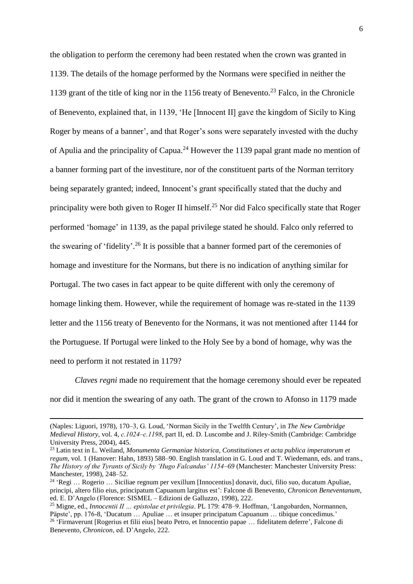the obligation to perform the ceremony had been restated when the crown was granted in 1139. The details of the homage performed by the Normans were specified in neither the 1139 grant of the title of king nor in the 1156 treaty of Benevento.<sup>23</sup> Falco, in the Chronicle of Benevento, explained that, in 1139, 'He [Innocent II] gave the kingdom of Sicily to King Roger by means of a banner', and that Roger's sons were separately invested with the duchy of Apulia and the principality of Capua.<sup>24</sup> However the 1139 papal grant made no mention of a banner forming part of the investiture, nor of the constituent parts of the Norman territory being separately granted; indeed, Innocent's grant specifically stated that the duchy and principality were both given to Roger II himself.<sup>25</sup> Nor did Falco specifically state that Roger performed 'homage' in 1139, as the papal privilege stated he should. Falco only referred to the swearing of 'fidelity'.<sup>26</sup> It is possible that a banner formed part of the ceremonies of homage and investiture for the Normans, but there is no indication of anything similar for Portugal. The two cases in fact appear to be quite different with only the ceremony of homage linking them. However, while the requirement of homage was re-stated in the 1139 letter and the 1156 treaty of Benevento for the Normans, it was not mentioned after 1144 for the Portuguese. If Portugal were linked to the Holy See by a bond of homage, why was the need to perform it not restated in 1179?

*Claves regni* made no requirement that the homage ceremony should ever be repeated nor did it mention the swearing of any oath. The grant of the crown to Afonso in 1179 made

<sup>(</sup>Naples: Liguori, 1978), 170–3, G. Loud, 'Norman Sicily in the Twelfth Century', in *The New Cambridge Medieval History*, vol. 4, *c.1024‒c.1198*, part II, ed. D. Luscombe and J. Riley-Smith (Cambridge: Cambridge University Press, 2004), 445.

<sup>23</sup> Latin text in L. Weiland, *Monumenta Germaniae historica, Constitutiones et acta publica imperatorum et regum*, vol. 1 (Hanover: Hahn, 1893) 588–90. English translation in G. Loud and T. Wiedemann, eds. and trans., *The History of the Tyrants of Sicily by 'Hugo Falcandus' 1154–69* (Manchester: Manchester University Press: Manchester, 1998), 248–52.

<sup>24</sup> 'Regi … Rogerio … Siciliae regnum per vexillum [Innocentius] donavit, duci, filio suo, ducatum Apuliae, principi, altero filio eius, principatum Capuanum largitus est': Falcone di Benevento, *Chronicon Beneventanum*, ed. E. D'Angelo (Florence: SISMEL – Edizioni de Galluzzo, 1998), 222.

<sup>25</sup> Migne, ed., *Innocentii II … epistolae et privilegia*. PL 179: 478–9. Hoffman, 'Langobarden, Normannen, Päpste', pp. 176-8, 'Ducatum … Apuliae … et insuper principatum Capuanum … tibique concedimus.' <sup>26</sup> 'Firmaverunt [Rogerius et filii eius] beato Petro, et Innocentio papae ... fidelitatem deferre', Falcone di Benevento, *Chronicon*, ed. D'Angelo, 222.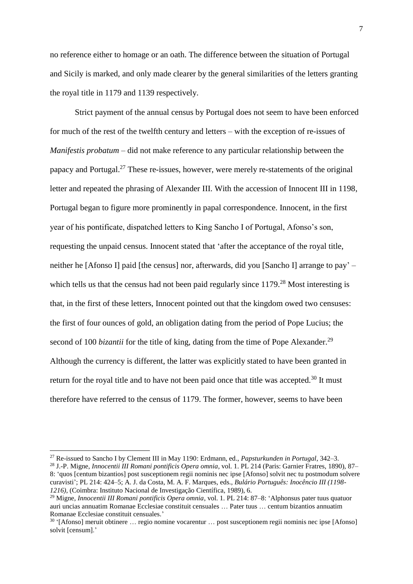no reference either to homage or an oath. The difference between the situation of Portugal and Sicily is marked, and only made clearer by the general similarities of the letters granting the royal title in 1179 and 1139 respectively.

Strict payment of the annual census by Portugal does not seem to have been enforced for much of the rest of the twelfth century and letters – with the exception of re-issues of *Manifestis probatum* – did not make reference to any particular relationship between the papacy and Portugal.<sup>27</sup> These re-issues, however, were merely re-statements of the original letter and repeated the phrasing of Alexander III. With the accession of Innocent III in 1198, Portugal began to figure more prominently in papal correspondence. Innocent, in the first year of his pontificate, dispatched letters to King Sancho I of Portugal, Afonso's son, requesting the unpaid census. Innocent stated that 'after the acceptance of the royal title, neither he [Afonso I] paid [the census] nor, afterwards, did you [Sancho I] arrange to pay'  $$ which tells us that the census had not been paid regularly since  $1179<sup>28</sup>$  Most interesting is that, in the first of these letters, Innocent pointed out that the kingdom owed two censuses: the first of four ounces of gold, an obligation dating from the period of Pope Lucius; the second of 100 *bizantii* for the title of king, dating from the time of Pope Alexander.<sup>29</sup> Although the currency is different, the latter was explicitly stated to have been granted in return for the royal title and to have not been paid once that title was accepted.<sup>30</sup> It must therefore have referred to the census of 1179. The former, however, seems to have been

*1216)*, (Coimbra: Instituto Nacional de Investigação Científica, 1989), 6.

<sup>27</sup> Re-issued to Sancho I by Clement III in May 1190: Erdmann, ed., *Papsturkunden in Portugal*, 342–3. <sup>28</sup> J.-P. Migne, *Innocentii III Romani pontificis Opera omnia*, vol. 1. PL 214 (Paris: Garnier Fratres, 1890), 87– 8: 'quos [centum bizantios] post susceptionem regii nominis nec ipse [Afonso] solvit nec tu postmodum solvere curavisti'; PL 214: 424–5; A. J. da Costa, M. A. F. Marques, eds., *Bulário Português: Inocêncio III (1198-*

<sup>29</sup> Migne, *Innocentii III Romani pontificis Opera omnia*, vol. 1. PL 214: 87–8: 'Alphonsus pater tuus quatuor auri uncias annuatim Romanae Ecclesiae constituit censuales … Pater tuus … centum bizantios annuatim Romanae Ecclesiae constituit censuales.'

<sup>30</sup> '[Afonso] meruit obtinere … regio nomine vocarentur … post susceptionem regii nominis nec ipse [Afonso] solvit [censum].'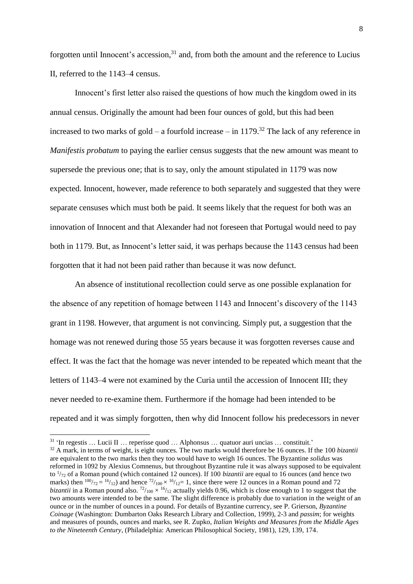forgotten until Innocent's accession,<sup>31</sup> and, from both the amount and the reference to Lucius II, referred to the 1143–4 census.

Innocent's first letter also raised the questions of how much the kingdom owed in its annual census. Originally the amount had been four ounces of gold, but this had been increased to two marks of gold – a fourfold increase – in  $1179<sup>32</sup>$  The lack of any reference in *Manifestis probatum* to paying the earlier census suggests that the new amount was meant to supersede the previous one; that is to say, only the amount stipulated in 1179 was now expected. Innocent, however, made reference to both separately and suggested that they were separate censuses which must both be paid. It seems likely that the request for both was an innovation of Innocent and that Alexander had not foreseen that Portugal would need to pay both in 1179. But, as Innocent's letter said, it was perhaps because the 1143 census had been forgotten that it had not been paid rather than because it was now defunct.

An absence of institutional recollection could serve as one possible explanation for the absence of any repetition of homage between 1143 and Innocent's discovery of the 1143 grant in 1198. However, that argument is not convincing. Simply put, a suggestion that the homage was not renewed during those 55 years because it was forgotten reverses cause and effect. It was the fact that the homage was never intended to be repeated which meant that the letters of 1143–4 were not examined by the Curia until the accession of Innocent III; they never needed to re-examine them. Furthermore if the homage had been intended to be repeated and it was simply forgotten, then why did Innocent follow his predecessors in never

1

<sup>31</sup> 'In regestis … Lucii II … reperisse quod … Alphonsus … quatuor auri uncias … constituit.' <sup>32</sup> A mark, in terms of weight, is eight ounces. The two marks would therefore be 16 ounces. If the 100 *bizantii* are equivalent to the two marks then they too would have to weigh 16 ounces. The Byzantine *solidus* was reformed in 1092 by Alexius Comnenus, but throughout Byzantine rule it was always supposed to be equivalent to <sup>1</sup> /<sup>72</sup> of a Roman pound (which contained 12 ounces). If 100 *bizantii* are equal to 16 ounces (and hence two marks) then  $100/72 = 16/12$  and hence  $72/100 \times 16/12 = 1$ , since there were 12 ounces in a Roman pound and 72 *bizantii* in a Roman pound also.  $^{72}/_{100} \times ^{16}/_{12}$  actually yields 0.96, which is close enough to 1 to suggest that the two amounts were intended to be the same. The slight difference is probably due to variation in the weight of an ounce or in the number of ounces in a pound. For details of Byzantine currency, see P. Grierson, *Byzantine Coinage* (Washington: Dumbarton Oaks Research Library and Collection, 1999), 2-3 and *passim*; for weights and measures of pounds, ounces and marks, see R. Zupko, *Italian Weights and Measures from the Middle Ages to the Nineteenth Century*, (Philadelphia: American Philosophical Society, 1981), 129, 139, 174.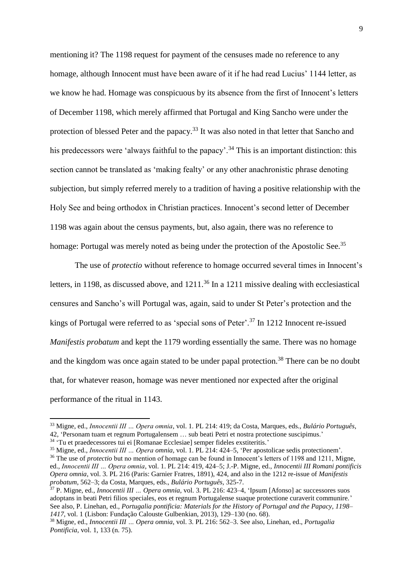mentioning it? The 1198 request for payment of the censuses made no reference to any homage, although Innocent must have been aware of it if he had read Lucius' 1144 letter, as we know he had. Homage was conspicuous by its absence from the first of Innocent's letters of December 1198, which merely affirmed that Portugal and King Sancho were under the protection of blessed Peter and the papacy.<sup>33</sup> It was also noted in that letter that Sancho and his predecessors were 'always faithful to the papacy'.<sup>34</sup> This is an important distinction: this section cannot be translated as 'making fealty' or any other anachronistic phrase denoting subjection, but simply referred merely to a tradition of having a positive relationship with the Holy See and being orthodox in Christian practices. Innocent's second letter of December 1198 was again about the census payments, but, also again, there was no reference to homage: Portugal was merely noted as being under the protection of the Apostolic See.<sup>35</sup>

The use of *protectio* without reference to homage occurred several times in Innocent's letters, in 1198, as discussed above, and  $1211$ .<sup>36</sup> In a 1211 missive dealing with ecclesiastical censures and Sancho's will Portugal was, again, said to under St Peter's protection and the kings of Portugal were referred to as 'special sons of Peter'.<sup>37</sup> In 1212 Innocent re-issued *Manifestis probatum* and kept the 1179 wording essentially the same. There was no homage and the kingdom was once again stated to be under papal protection.<sup>38</sup> There can be no doubt that, for whatever reason, homage was never mentioned nor expected after the original performance of the ritual in 1143.

<sup>33</sup> Migne, ed., *Innocentii III … Opera omnia*, vol. 1. PL 214: 419; da Costa, Marques, eds., *Bulário Português*, 42, 'Personam tuam et regnum Portugalensem … sub beati Petri et nostra protectione suscipimus.'

<sup>34</sup> 'Tu et praedecessores tui ei [Romanae Ecclesiae] semper fideles exstiteritis*.*'

<sup>35</sup> Migne, ed., *Innocentii III … Opera omnia*, vol. 1. PL 214: 424–5, 'Per apostolicae sedis protectionem'.

<sup>&</sup>lt;sup>36</sup> The use of *protectio* but no mention of homage can be found in Innocent's letters of 1198 and 1211, Migne, ed., *Innocentii III … Opera omnia*, vol. 1. PL 214: 419, 424–5; J.-P. Migne, ed., *Innocentii III Romani pontificis Opera omnia*, vol. 3. PL 216 (Paris: Garnier Fratres, 1891), 424, and also in the 1212 re-issue of *Manifestis probatum*, 562–3; da Costa, Marques, eds., *Bulário Português*, 325-7.

<sup>37</sup> P. Migne, ed., *Innocentii III … Opera omnia*, vol. 3. PL 216: 423–4, 'Ipsum [Afonso] ac successores suos adoptans in beati Petri filios speciales, eos et regnum Portugalense suaque protectione curaverit communire.' See also, P. Linehan, ed., *Portugalia pontificia: Materials for the History of Portugal and the Papacy, 1198– 1417*, vol. 1 (Lisbon: Fundação Calouste Gulbenkian, 2013), 129–130 (no. 68).

<sup>38</sup> Migne, ed., *Innocentii III … Opera omnia*, vol. 3. PL 216: 562–3. See also, Linehan, ed., *Portugalia Pontificia*, vol. 1, 133 (n. 75).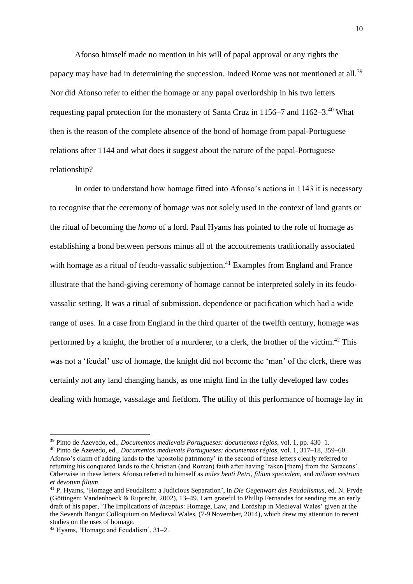Afonso himself made no mention in his will of papal approval or any rights the papacy may have had in determining the succession. Indeed Rome was not mentioned at all.<sup>39</sup> Nor did Afonso refer to either the homage or any papal overlordship in his two letters requesting papal protection for the monastery of Santa Cruz in  $1156-7$  and  $1162-3$ .<sup>40</sup> What then is the reason of the complete absence of the bond of homage from papal-Portuguese relations after 1144 and what does it suggest about the nature of the papal-Portuguese relationship?

In order to understand how homage fitted into Afonso's actions in 1143 it is necessary to recognise that the ceremony of homage was not solely used in the context of land grants or the ritual of becoming the *homo* of a lord. Paul Hyams has pointed to the role of homage as establishing a bond between persons minus all of the accoutrements traditionally associated with homage as a ritual of feudo-vassalic subjection.<sup>41</sup> Examples from England and France illustrate that the hand-giving ceremony of homage cannot be interpreted solely in its feudovassalic setting. It was a ritual of submission, dependence or pacification which had a wide range of uses. In a case from England in the third quarter of the twelfth century, homage was performed by a knight, the brother of a murderer, to a clerk, the brother of the victim.<sup>42</sup> This was not a 'feudal' use of homage, the knight did not become the 'man' of the clerk, there was certainly not any land changing hands, as one might find in the fully developed law codes dealing with homage, vassalage and fiefdom. The utility of this performance of homage lay in

1

<sup>39</sup> Pinto de Azevedo, ed., *Documentos medievais Portugueses: documentos régios*, vol. 1, pp. 430–1.

<sup>40</sup> Pinto de Azevedo, ed., *Documentos medievais Portugueses: documentos régios*, vol. 1, 317–18, 359–60. Afonso's claim of adding lands to the 'apostolic patrimony' in the second of these letters clearly referred to returning his conquered lands to the Christian (and Roman) faith after having 'taken [them] from the Saracens'. Otherwise in these letters Afonso referred to himself as *miles beati Petri*, *filium specialem*, and *militem vestrum et devotum filium*.

<sup>41</sup> P. Hyams, 'Homage and Feudalism: a Judicious Separation', in *Die Gegenwart des Feudalismus*, ed. N. Fryde (Göttingen: Vandenhoeck & Ruprecht, 2002), 13–49. I am grateful to Phillip Fernandes for sending me an early draft of his paper, 'The Implications of *Inceptus*: Homage, Law, and Lordship in Medieval Wales' given at the the Seventh Bangor Colloquium on Medieval Wales, (7-9 November, 2014), which drew my attention to recent studies on the uses of homage.

<sup>42</sup> Hyams, 'Homage and Feudalism', 31–2.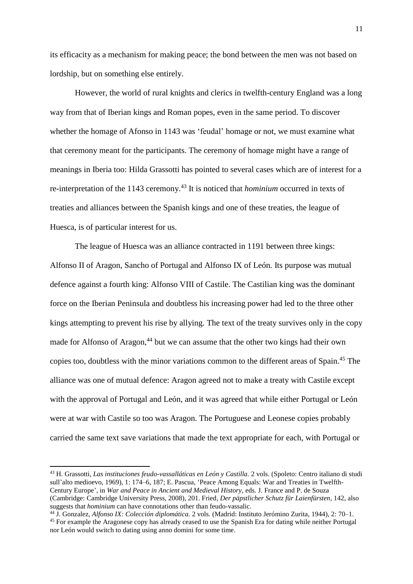its efficacity as a mechanism for making peace; the bond between the men was not based on lordship, but on something else entirely.

However, the world of rural knights and clerics in twelfth-century England was a long way from that of Iberian kings and Roman popes, even in the same period. To discover whether the homage of Afonso in 1143 was 'feudal' homage or not, we must examine what that ceremony meant for the participants. The ceremony of homage might have a range of meanings in Iberia too: Hilda Grassotti has pointed to several cases which are of interest for a re-interpretation of the 1143 ceremony.<sup>43</sup> It is noticed that *hominium* occurred in texts of treaties and alliances between the Spanish kings and one of these treaties, the league of Huesca, is of particular interest for us.

The league of Huesca was an alliance contracted in 1191 between three kings: Alfonso II of Aragon, Sancho of Portugal and Alfonso IX of León. Its purpose was mutual defence against a fourth king: Alfonso VIII of Castile. The Castilian king was the dominant force on the Iberian Peninsula and doubtless his increasing power had led to the three other kings attempting to prevent his rise by allying. The text of the treaty survives only in the copy made for Alfonso of Aragon,<sup>44</sup> but we can assume that the other two kings had their own copies too, doubtless with the minor variations common to the different areas of Spain.<sup>45</sup> The alliance was one of mutual defence: Aragon agreed not to make a treaty with Castile except with the approval of Portugal and León, and it was agreed that while either Portugal or León were at war with Castile so too was Aragon. The Portuguese and Leonese copies probably carried the same text save variations that made the text appropriate for each, with Portugal or

<sup>43</sup> H. Grassotti, *Las instituciones feudo-vassalláticas en León y Castilla.* 2 vols. (Spoleto: Centro italiano di studi sull'alto medioevo, 1969), 1: 174–6, 187; E. Pascua, 'Peace Among Equals: War and Treaties in Twelfth-Century Europe', in *War and Peace in Ancient and Medieval History*, eds. J. France and P. de Souza (Cambridge: Cambridge University Press, 2008), 201. Fried, *Der päpstlicher Schutz für Laienfürsten*, 142, also suggests that *hominium* can have connotations other than feudo-vassalic.

<sup>44</sup> J. Gonzalez, *Alfonso IX: Colección diplomática.* 2 vols. (Madrid: Instituto Jerómino Zurita, 1944), 2: 70–1.

<sup>&</sup>lt;sup>45</sup> For example the Aragonese copy has already ceased to use the Spanish Era for dating while neither Portugal nor León would switch to dating using anno domini for some time.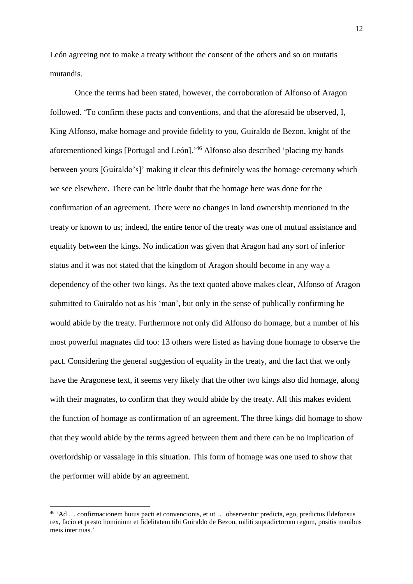León agreeing not to make a treaty without the consent of the others and so on mutatis mutandis.

Once the terms had been stated, however, the corroboration of Alfonso of Aragon followed. 'To confirm these pacts and conventions, and that the aforesaid be observed, I, King Alfonso, make homage and provide fidelity to you, Guiraldo de Bezon, knight of the aforementioned kings [Portugal and León].'<sup>46</sup> Alfonso also described 'placing my hands between yours [Guiraldo's]' making it clear this definitely was the homage ceremony which we see elsewhere. There can be little doubt that the homage here was done for the confirmation of an agreement. There were no changes in land ownership mentioned in the treaty or known to us; indeed, the entire tenor of the treaty was one of mutual assistance and equality between the kings. No indication was given that Aragon had any sort of inferior status and it was not stated that the kingdom of Aragon should become in any way a dependency of the other two kings. As the text quoted above makes clear, Alfonso of Aragon submitted to Guiraldo not as his 'man', but only in the sense of publically confirming he would abide by the treaty. Furthermore not only did Alfonso do homage, but a number of his most powerful magnates did too: 13 others were listed as having done homage to observe the pact. Considering the general suggestion of equality in the treaty, and the fact that we only have the Aragonese text, it seems very likely that the other two kings also did homage, along with their magnates, to confirm that they would abide by the treaty. All this makes evident the function of homage as confirmation of an agreement. The three kings did homage to show that they would abide by the terms agreed between them and there can be no implication of overlordship or vassalage in this situation. This form of homage was one used to show that the performer will abide by an agreement.

 46 'Ad … confirmacionem huius pacti et convencionis, et ut … observentur predicta, ego, predictus Ildefonsus rex, facio et presto hominium et fidelitatem tibi Guiraldo de Bezon, militi supradictorum regum, positis manibus meis inter tuas.'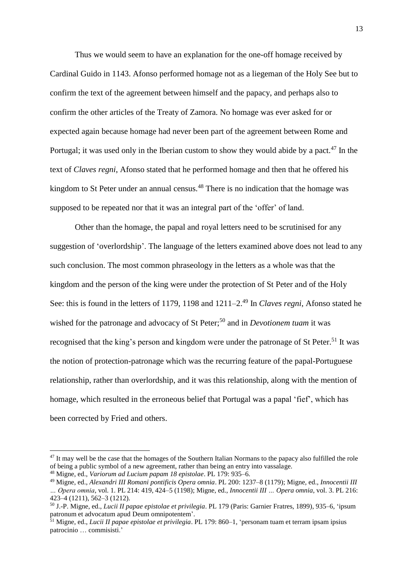Thus we would seem to have an explanation for the one-off homage received by Cardinal Guido in 1143. Afonso performed homage not as a liegeman of the Holy See but to confirm the text of the agreement between himself and the papacy, and perhaps also to confirm the other articles of the Treaty of Zamora. No homage was ever asked for or expected again because homage had never been part of the agreement between Rome and Portugal; it was used only in the Iberian custom to show they would abide by a pact.<sup>47</sup> In the text of *Claves regni*, Afonso stated that he performed homage and then that he offered his kingdom to St Peter under an annual census.<sup>48</sup> There is no indication that the homage was supposed to be repeated nor that it was an integral part of the 'offer' of land.

Other than the homage, the papal and royal letters need to be scrutinised for any suggestion of 'overlordship'. The language of the letters examined above does not lead to any such conclusion. The most common phraseology in the letters as a whole was that the kingdom and the person of the king were under the protection of St Peter and of the Holy See: this is found in the letters of 1179, 1198 and 1211–2.<sup>49</sup> In *Claves regni*, Afonso stated he wished for the patronage and advocacy of St Peter; <sup>50</sup> and in *Devotionem tuam* it was recognised that the king's person and kingdom were under the patronage of St Peter.<sup>51</sup> It was the notion of protection-patronage which was the recurring feature of the papal-Portuguese relationship, rather than overlordship, and it was this relationship, along with the mention of homage, which resulted in the erroneous belief that Portugal was a papal 'fief', which has been corrected by Fried and others.

<sup>&</sup>lt;sup>47</sup> It may well be the case that the homages of the Southern Italian Normans to the papacy also fulfilled the role of being a public symbol of a new agreement, rather than being an entry into vassalage.

<sup>48</sup> Migne, ed., *Variorum ad Lucium papam 18 epistolae*. PL 179: 935–6.

<sup>49</sup> Migne, ed., *Alexandri III Romani pontificis Opera omnia*. PL 200: 1237–8 (1179); Migne, ed., *Innocentii III … Opera omnia*, vol. 1. PL 214: 419, 424–5 (1198); Migne, ed., *Innocentii III … Opera omnia*, vol. 3. PL 216: 423–4 (1211), 562–3 (1212).

<sup>50</sup> J.-P. Migne, ed., *Lucii II papae epistolae et privilegia*. PL 179 (Paris: Garnier Fratres, 1899), 935–6, 'ipsum patronum et advocatum apud Deum omnipotentem'.

<sup>51</sup> Migne, ed., *Lucii II papae epistolae et privilegia*. PL 179: 860–1, 'personam tuam et terram ipsam ipsius patrocinio … commisisti.'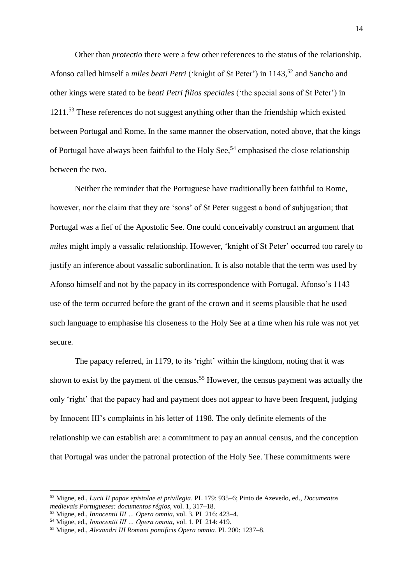Other than *protectio* there were a few other references to the status of the relationship. Afonso called himself a *miles beati Petri* ('knight of St Peter') in 1143,<sup>52</sup> and Sancho and other kings were stated to be *beati Petri filios speciales* ('the special sons of St Peter') in 1211*.* <sup>53</sup> These references do not suggest anything other than the friendship which existed between Portugal and Rome. In the same manner the observation, noted above, that the kings of Portugal have always been faithful to the Holy See,<sup>54</sup> emphasised the close relationship between the two.

Neither the reminder that the Portuguese have traditionally been faithful to Rome, however, nor the claim that they are 'sons' of St Peter suggest a bond of subjugation; that Portugal was a fief of the Apostolic See. One could conceivably construct an argument that *miles* might imply a vassalic relationship. However, 'knight of St Peter' occurred too rarely to justify an inference about vassalic subordination. It is also notable that the term was used by Afonso himself and not by the papacy in its correspondence with Portugal. Afonso's 1143 use of the term occurred before the grant of the crown and it seems plausible that he used such language to emphasise his closeness to the Holy See at a time when his rule was not yet secure.

The papacy referred, in 1179, to its 'right' within the kingdom, noting that it was shown to exist by the payment of the census.<sup>55</sup> However, the census payment was actually the only 'right' that the papacy had and payment does not appear to have been frequent, judging by Innocent III's complaints in his letter of 1198. The only definite elements of the relationship we can establish are: a commitment to pay an annual census, and the conception that Portugal was under the patronal protection of the Holy See. These commitments were

<sup>52</sup> Migne, ed., *Lucii II papae epistolae et privilegia*. PL 179: 935–6; Pinto de Azevedo, ed., *Documentos medievais Portugueses: documentos régios*, vol. 1, 317–18.

<sup>53</sup> Migne, ed., *Innocentii III … Opera omnia*, vol. 3. PL 216: 423–4.

<sup>54</sup> Migne, ed., *Innocentii III … Opera omnia*, vol. 1. PL 214: 419.

<sup>55</sup> Migne, ed., *Alexandri III Romani pontificis Opera omnia*. PL 200: 1237–8.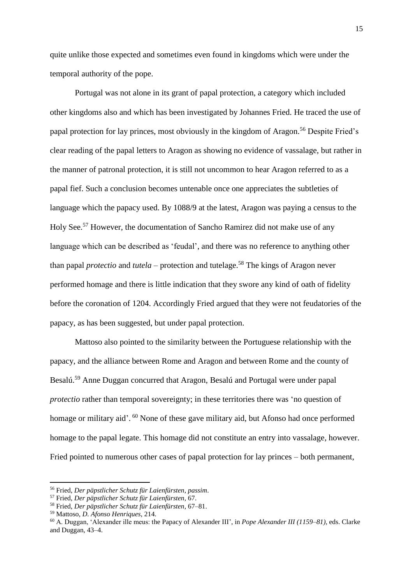quite unlike those expected and sometimes even found in kingdoms which were under the temporal authority of the pope.

Portugal was not alone in its grant of papal protection, a category which included other kingdoms also and which has been investigated by Johannes Fried. He traced the use of papal protection for lay princes, most obviously in the kingdom of Aragon.<sup>56</sup> Despite Fried's clear reading of the papal letters to Aragon as showing no evidence of vassalage, but rather in the manner of patronal protection, it is still not uncommon to hear Aragon referred to as a papal fief. Such a conclusion becomes untenable once one appreciates the subtleties of language which the papacy used. By 1088/9 at the latest, Aragon was paying a census to the Holy See.<sup>57</sup> However, the documentation of Sancho Ramirez did not make use of any language which can be described as 'feudal', and there was no reference to anything other than papal *protectio* and *tutela* – protection and tutelage.<sup>58</sup> The kings of Aragon never performed homage and there is little indication that they swore any kind of oath of fidelity before the coronation of 1204. Accordingly Fried argued that they were not feudatories of the papacy, as has been suggested, but under papal protection.

Mattoso also pointed to the similarity between the Portuguese relationship with the papacy, and the alliance between Rome and Aragon and between Rome and the county of Besalú. <sup>59</sup> Anne Duggan concurred that Aragon, Besalú and Portugal were under papal *protectio* rather than temporal sovereignty; in these territories there was 'no question of homage or military aid'. <sup>60</sup> None of these gave military aid, but Afonso had once performed homage to the papal legate. This homage did not constitute an entry into vassalage, however. Fried pointed to numerous other cases of papal protection for lay princes – both permanent,

1

<sup>56</sup> Fried, *Der päpstlicher Schutz für Laienfürsten*, *passim*.

<sup>57</sup> Fried, *Der päpstlicher Schutz für Laienfürsten*, 67.

<sup>58</sup> Fried, *Der päpstlicher Schutz für Laienfürsten*, 67–81.

<sup>59</sup> Mattoso, *D. Afonso Henriques*, 214.

<sup>60</sup> A. Duggan, 'Alexander ille meus: the Papacy of Alexander III', in *Pope Alexander III (1159–81)*, eds. Clarke and Duggan, 43–4.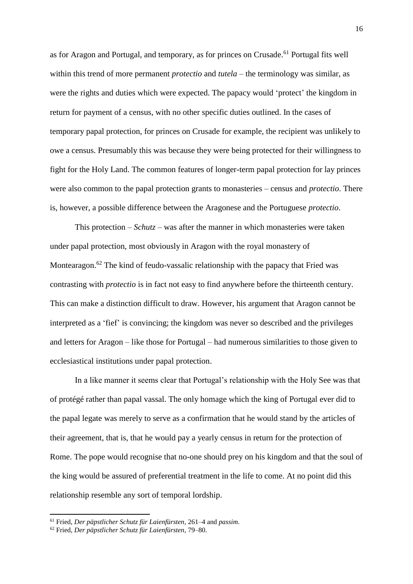as for Aragon and Portugal, and temporary, as for princes on Crusade.<sup>61</sup> Portugal fits well within this trend of more permanent *protectio* and *tutela* – the terminology was similar, as were the rights and duties which were expected. The papacy would 'protect' the kingdom in return for payment of a census, with no other specific duties outlined. In the cases of temporary papal protection, for princes on Crusade for example, the recipient was unlikely to owe a census. Presumably this was because they were being protected for their willingness to fight for the Holy Land. The common features of longer-term papal protection for lay princes were also common to the papal protection grants to monasteries – census and *protectio*. There is, however, a possible difference between the Aragonese and the Portuguese *protectio*.

This protection – *Schutz* – was after the manner in which monasteries were taken under papal protection, most obviously in Aragon with the royal monastery of Montearagon.<sup>62</sup> The kind of feudo-vassalic relationship with the papacy that Fried was contrasting with *protectio* is in fact not easy to find anywhere before the thirteenth century. This can make a distinction difficult to draw. However, his argument that Aragon cannot be interpreted as a 'fief' is convincing; the kingdom was never so described and the privileges and letters for Aragon – like those for Portugal – had numerous similarities to those given to ecclesiastical institutions under papal protection.

In a like manner it seems clear that Portugal's relationship with the Holy See was that of protégé rather than papal vassal. The only homage which the king of Portugal ever did to the papal legate was merely to serve as a confirmation that he would stand by the articles of their agreement, that is, that he would pay a yearly census in return for the protection of Rome. The pope would recognise that no-one should prey on his kingdom and that the soul of the king would be assured of preferential treatment in the life to come. At no point did this relationship resemble any sort of temporal lordship.

<sup>61</sup> Fried, *Der päpstlicher Schutz für Laienfürsten*, 261–4 and *passim*.

<sup>62</sup> Fried, *Der päpstlicher Schutz für Laienfürsten*, 79–80.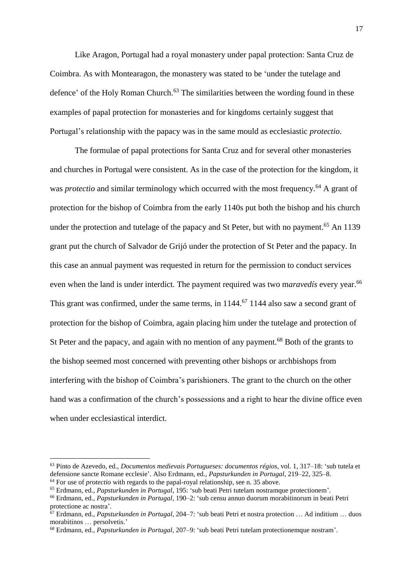Like Aragon, Portugal had a royal monastery under papal protection: Santa Cruz de Coimbra. As with Montearagon, the monastery was stated to be 'under the tutelage and defence' of the Holy Roman Church.<sup>63</sup> The similarities between the wording found in these examples of papal protection for monasteries and for kingdoms certainly suggest that Portugal's relationship with the papacy was in the same mould as ecclesiastic *protectio*.

The formulae of papal protections for Santa Cruz and for several other monasteries and churches in Portugal were consistent. As in the case of the protection for the kingdom, it was *protectio* and similar terminology which occurred with the most frequency.<sup>64</sup> A grant of protection for the bishop of Coimbra from the early 1140s put both the bishop and his church under the protection and tutelage of the papacy and St Peter, but with no payment.<sup>65</sup> An 1139 grant put the church of Salvador de Grijó under the protection of St Peter and the papacy. In this case an annual payment was requested in return for the permission to conduct services even when the land is under interdict. The payment required was two maravedis every year.<sup>66</sup> This grant was confirmed, under the same terms, in 1144.<sup>67</sup> 1144 also saw a second grant of protection for the bishop of Coimbra, again placing him under the tutelage and protection of St Peter and the papacy, and again with no mention of any payment.<sup>68</sup> Both of the grants to the bishop seemed most concerned with preventing other bishops or archbishops from interfering with the bishop of Coimbra's parishioners. The grant to the church on the other hand was a confirmation of the church's possessions and a right to hear the divine office even when under ecclesiastical interdict.

 $\overline{a}$ 

<sup>63</sup> Pinto de Azevedo, ed., *Documentos medievais Portugueses: documentos régios*, vol. 1, 317–18: 'sub tutela et defensione sancte Romane ecclesie'. Also Erdmann, ed., *Papsturkunden in Portugal*, 219–22, 325–8. <sup>64</sup> For use of *protectio* with regards to the papal-royal relationship, see n. 35 above.

<sup>65</sup> Erdmann, ed., *Papsturkunden in Portugal*, 195: 'sub beati Petri tutelam nostramque protectionem'.

<sup>66</sup> Erdmann, ed., *Papsturkunden in Portugal*, 190–2: 'sub censu annuo duorum morabitinorum in beati Petri protectione ac nostra'.

<sup>67</sup> Erdmann, ed., *Papsturkunden in Portugal*, 204–7: 'sub beati Petri et nostra protection … Ad inditium … duos morabitinos … persolvetis.'

<sup>68</sup> Erdmann, ed., *Papsturkunden in Portugal*, 207–9: 'sub beati Petri tutelam protectionemque nostram'.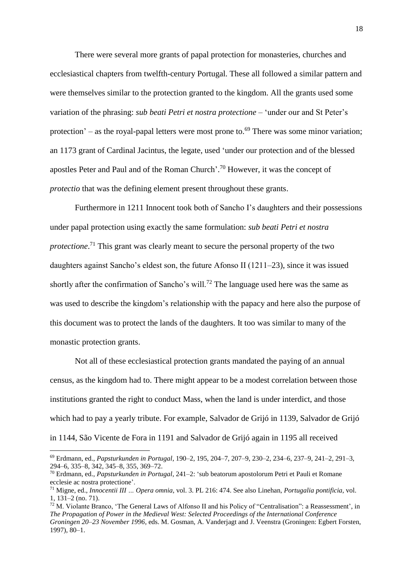There were several more grants of papal protection for monasteries, churches and ecclesiastical chapters from twelfth-century Portugal. These all followed a similar pattern and were themselves similar to the protection granted to the kingdom. All the grants used some variation of the phrasing: *sub beati Petri et nostra protectione* – 'under our and St Peter's protection' – as the royal-papal letters were most prone to.<sup>69</sup> There was some minor variation; an 1173 grant of Cardinal Jacintus, the legate, used 'under our protection and of the blessed apostles Peter and Paul and of the Roman Church'. <sup>70</sup> However, it was the concept of *protectio* that was the defining element present throughout these grants.

Furthermore in 1211 Innocent took both of Sancho I's daughters and their possessions under papal protection using exactly the same formulation: *sub beati Petri et nostra protectione*. <sup>71</sup> This grant was clearly meant to secure the personal property of the two daughters against Sancho's eldest son, the future Afonso II (1211–23), since it was issued shortly after the confirmation of Sancho's will.<sup>72</sup> The language used here was the same as was used to describe the kingdom's relationship with the papacy and here also the purpose of this document was to protect the lands of the daughters. It too was similar to many of the monastic protection grants.

Not all of these ecclesiastical protection grants mandated the paying of an annual census, as the kingdom had to. There might appear to be a modest correlation between those institutions granted the right to conduct Mass, when the land is under interdict, and those which had to pay a yearly tribute. For example, Salvador de Grijó in 1139, Salvador de Grijó in 1144, São Vicente de Fora in 1191 and Salvador de Grijó again in 1195 all received

<sup>69</sup> Erdmann, ed., *Papsturkunden in Portugal*, 190–2, 195, 204–7, 207–9, 230–2, 234–6, 237–9, 241–2, 291–3, 294–6, 335–8, 342, 345–8, 355, 369–72.

<sup>70</sup> Erdmann, ed., *Papsturkunden in Portugal*, 241–2: 'sub beatorum apostolorum Petri et Pauli et Romane ecclesie ac nostra protectione'.

<sup>71</sup> Migne, ed., *Innocentii III … Opera omnia*, vol. 3. PL 216: 474. See also Linehan, *Portugalia pontificia*, vol. 1, 131–2 (no. 71).

<sup>&</sup>lt;sup>72</sup> M. Violante Branco, 'The General Laws of Alfonso II and his Policy of "Centralisation": a Reassessment', in *The Propagation of Power in the Medieval West: Selected Proceedings of the International Conference Groningen 20–23 November 1996*, eds. M. Gosman, A. Vanderjagt and J. Veenstra (Groningen: Egbert Forsten, 1997), 80–1.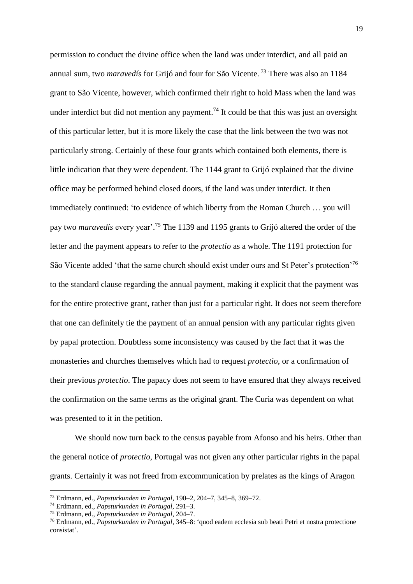permission to conduct the divine office when the land was under interdict, and all paid an annual sum, two *maravedís* for Grijó and four for São Vicente. <sup>73</sup> There was also an 1184 grant to São Vicente, however, which confirmed their right to hold Mass when the land was under interdict but did not mention any payment.<sup>74</sup> It could be that this was just an oversight of this particular letter, but it is more likely the case that the link between the two was not particularly strong. Certainly of these four grants which contained both elements, there is little indication that they were dependent. The 1144 grant to Grijó explained that the divine office may be performed behind closed doors, if the land was under interdict. It then immediately continued: 'to evidence of which liberty from the Roman Church … you will pay two *maravedís* every year'. <sup>75</sup> The 1139 and 1195 grants to Grijó altered the order of the letter and the payment appears to refer to the *protectio* as a whole. The 1191 protection for São Vicente added 'that the same church should exist under ours and St Peter's protection<sup>'76</sup> to the standard clause regarding the annual payment, making it explicit that the payment was for the entire protective grant, rather than just for a particular right. It does not seem therefore that one can definitely tie the payment of an annual pension with any particular rights given by papal protection. Doubtless some inconsistency was caused by the fact that it was the monasteries and churches themselves which had to request *protectio*, or a confirmation of their previous *protectio*. The papacy does not seem to have ensured that they always received the confirmation on the same terms as the original grant. The Curia was dependent on what was presented to it in the petition.

We should now turn back to the census payable from Afonso and his heirs. Other than the general notice of *protectio*, Portugal was not given any other particular rights in the papal grants. Certainly it was not freed from excommunication by prelates as the kings of Aragon

<sup>73</sup> Erdmann, ed., *Papsturkunden in Portugal*, 190–2, 204–7, 345–8, 369–72.

<sup>74</sup> Erdmann, ed., *Papsturkunden in Portugal*, 291–3.

<sup>75</sup> Erdmann, ed., *Papsturkunden in Portugal*, 204–7.

<sup>76</sup> Erdmann, ed., *Papsturkunden in Portugal*, 345–8: 'quod eadem ecclesia sub beati Petri et nostra protectione consistat'.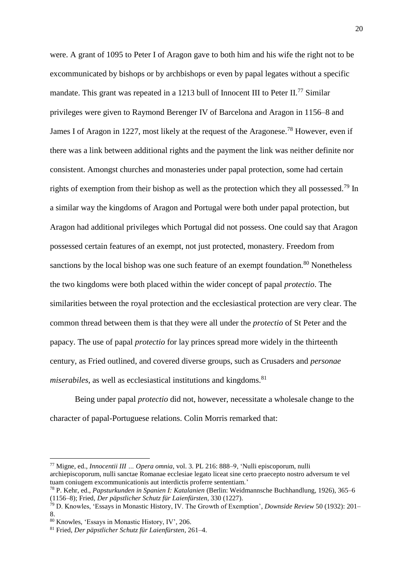were. A grant of 1095 to Peter I of Aragon gave to both him and his wife the right not to be excommunicated by bishops or by archbishops or even by papal legates without a specific mandate. This grant was repeated in a 1213 bull of Innocent III to Peter II.<sup>77</sup> Similar privileges were given to Raymond Berenger IV of Barcelona and Aragon in 1156–8 and James I of Aragon in 1227, most likely at the request of the Aragonese.<sup>78</sup> However, even if there was a link between additional rights and the payment the link was neither definite nor consistent. Amongst churches and monasteries under papal protection, some had certain rights of exemption from their bishop as well as the protection which they all possessed.<sup>79</sup> In a similar way the kingdoms of Aragon and Portugal were both under papal protection, but Aragon had additional privileges which Portugal did not possess. One could say that Aragon possessed certain features of an exempt, not just protected, monastery. Freedom from sanctions by the local bishop was one such feature of an exempt foundation.<sup>80</sup> Nonetheless the two kingdoms were both placed within the wider concept of papal *protectio*. The similarities between the royal protection and the ecclesiastical protection are very clear. The common thread between them is that they were all under the *protectio* of St Peter and the papacy. The use of papal *protectio* for lay princes spread more widely in the thirteenth century, as Fried outlined, and covered diverse groups, such as Crusaders and *personae miserabiles*, as well as ecclesiastical institutions and kingdoms.<sup>81</sup>

Being under papal *protectio* did not, however, necessitate a wholesale change to the character of papal-Portuguese relations. Colin Morris remarked that:

 $\overline{a}$ 

<sup>77</sup> Migne, ed., *Innocentii III … Opera omnia*, vol. 3. PL 216: 888–9, 'Nulli episcoporum, nulli archiepiscoporum, nulli sanctae Romanae ecclesiae legato liceat sine certo praecepto nostro adversum te vel tuam coniugem excommunicationis aut interdictis proferre sententiam.'

<sup>78</sup> P. Kehr, ed., *Papsturkunden in Spanien I: Katalanien* (Berlin: Weidmannsche Buchhandlung, 1926), 365–6 (1156–8); Fried, *Der päpstlicher Schutz für Laienfürsten*, 330 (1227).

<sup>79</sup> D. Knowles, 'Essays in Monastic History, IV. The Growth of Exemption', *Downside Review* 50 (1932): 201– 8.

<sup>80</sup> Knowles, 'Essays in Monastic History, IV', 206.

<sup>81</sup> Fried, *Der päpstlicher Schutz für Laienfürsten*, 261–4.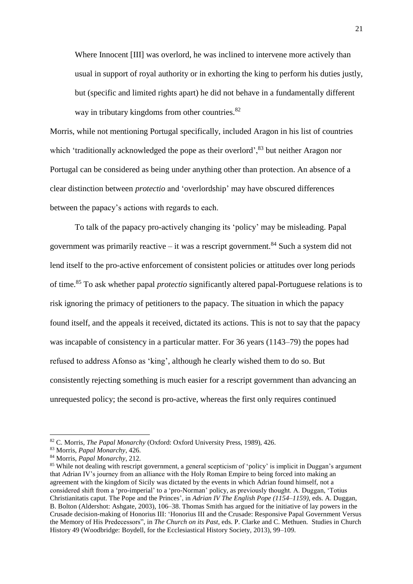Where Innocent [III] was overlord, he was inclined to intervene more actively than usual in support of royal authority or in exhorting the king to perform his duties justly, but (specific and limited rights apart) he did not behave in a fundamentally different way in tributary kingdoms from other countries.<sup>82</sup>

Morris, while not mentioning Portugal specifically, included Aragon in his list of countries which 'traditionally acknowledged the pope as their overlord',<sup>83</sup> but neither Aragon nor Portugal can be considered as being under anything other than protection. An absence of a clear distinction between *protectio* and 'overlordship' may have obscured differences between the papacy's actions with regards to each.

To talk of the papacy pro-actively changing its 'policy' may be misleading. Papal government was primarily reactive – it was a rescript government.<sup>84</sup> Such a system did not lend itself to the pro-active enforcement of consistent policies or attitudes over long periods of time.<sup>85</sup> To ask whether papal *protectio* significantly altered papal-Portuguese relations is to risk ignoring the primacy of petitioners to the papacy. The situation in which the papacy found itself, and the appeals it received, dictated its actions. This is not to say that the papacy was incapable of consistency in a particular matter. For 36 years (1143–79) the popes had refused to address Afonso as 'king', although he clearly wished them to do so. But consistently rejecting something is much easier for a rescript government than advancing an unrequested policy; the second is pro-active, whereas the first only requires continued

1

<sup>82</sup> C. Morris, *The Papal Monarchy* (Oxford: Oxford University Press, 1989), 426.

<sup>83</sup> Morris, *Papal Monarchy*, 426.

<sup>84</sup> Morris, *Papal Monarchy*, 212.

<sup>&</sup>lt;sup>85</sup> While not dealing with rescript government, a general scepticism of 'policy' is implicit in Duggan's argument that Adrian IV's journey from an alliance with the Holy Roman Empire to being forced into making an agreement with the kingdom of Sicily was dictated by the events in which Adrian found himself, not a considered shift from a 'pro-imperial' to a 'pro-Norman' policy, as previously thought. A. Duggan, 'Totius Christianitatis caput. The Pope and the Princes', in *Adrian IV The English Pope (1154–1159)*, eds. A. Duggan, B. Bolton (Aldershot: Ashgate, 2003), 106–38. Thomas Smith has argued for the initiative of lay powers in the Crusade decision-making of Honorius III: 'Honorius III and the Crusade: Responsive Papal Government Versus the Memory of His Predecessors", in *The Church on its Past*, eds. P. Clarke and C. Methuen. Studies in Church History 49 (Woodbridge: Boydell, for the Ecclesiastical History Society, 2013), 99–109.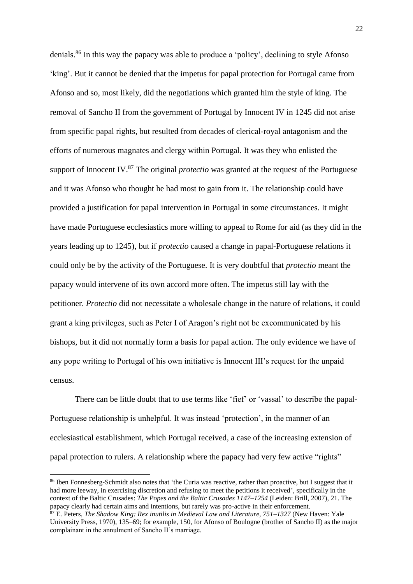denials.<sup>86</sup> In this way the papacy was able to produce a 'policy', declining to style Afonso 'king'. But it cannot be denied that the impetus for papal protection for Portugal came from Afonso and so, most likely, did the negotiations which granted him the style of king. The removal of Sancho II from the government of Portugal by Innocent IV in 1245 did not arise from specific papal rights, but resulted from decades of clerical-royal antagonism and the efforts of numerous magnates and clergy within Portugal. It was they who enlisted the support of Innocent IV.<sup>87</sup> The original *protectio* was granted at the request of the Portuguese and it was Afonso who thought he had most to gain from it. The relationship could have provided a justification for papal intervention in Portugal in some circumstances. It might have made Portuguese ecclesiastics more willing to appeal to Rome for aid (as they did in the years leading up to 1245), but if *protectio* caused a change in papal-Portuguese relations it could only be by the activity of the Portuguese. It is very doubtful that *protectio* meant the papacy would intervene of its own accord more often. The impetus still lay with the petitioner. *Protectio* did not necessitate a wholesale change in the nature of relations, it could grant a king privileges, such as Peter I of Aragon's right not be excommunicated by his bishops, but it did not normally form a basis for papal action. The only evidence we have of any pope writing to Portugal of his own initiative is Innocent III's request for the unpaid census.

There can be little doubt that to use terms like 'fief' or 'vassal' to describe the papal-Portuguese relationship is unhelpful. It was instead 'protection', in the manner of an ecclesiastical establishment, which Portugal received, a case of the increasing extension of papal protection to rulers. A relationship where the papacy had very few active "rights"

<sup>86</sup> Iben Fonnesberg-Schmidt also notes that 'the Curia was reactive, rather than proactive, but I suggest that it had more leeway, in exercising discretion and refusing to meet the petitions it received', specifically in the context of the Baltic Crusades: *The Popes and the Baltic Crusades 1147–1254* (Leiden: Brill, 2007), 21. The papacy clearly had certain aims and intentions, but rarely was pro-active in their enforcement.

<sup>87</sup> E. Peters, *The Shadow King: Rex inutilis in Medieval Law and Literature, 751–1327* (New Haven: Yale University Press, 1970), 135–69; for example, 150, for Afonso of Boulogne (brother of Sancho II) as the major complainant in the annulment of Sancho II's marriage.